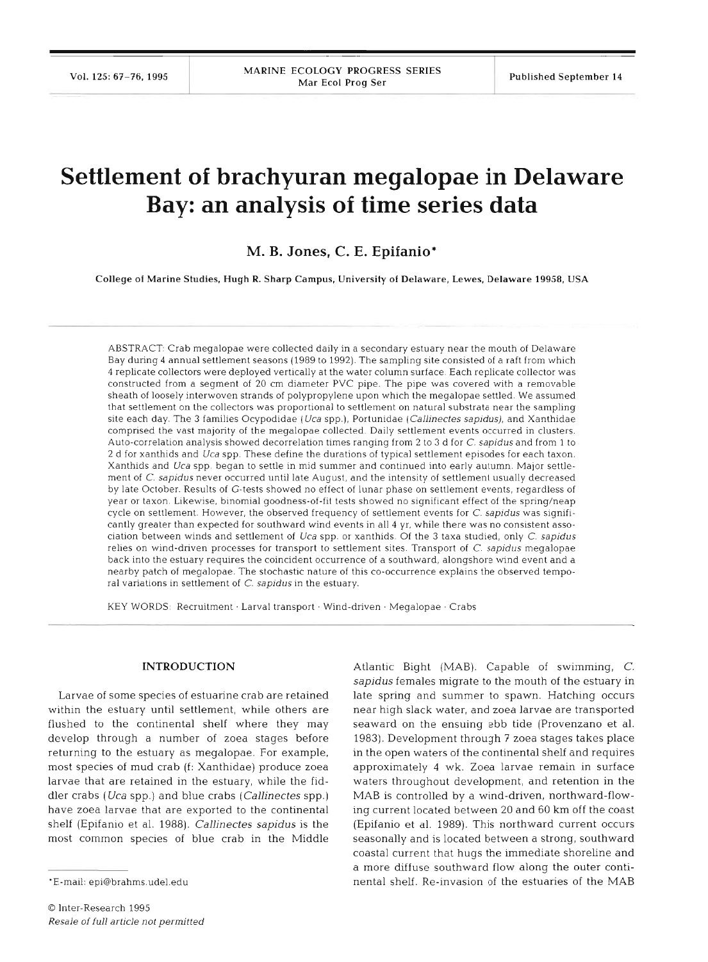# **Settlement of brachyuran megalopae in Delaware Bay: an analysis of time series data**

# **M. B. Jones, C. E. Epifanio\***

College of Marine Studies, Hugh R. Sharp Campus, University of Delaware, Lewes, Delaware **19958,** USA

ABSTRACT Crab megalopae were collected daily in a secondary estuary near the mouth of Delaware Bay during 4 annual settlement seasons (1989 to 1992). The sampling site consisted of a raft from which 4 replicate collectors were deployed vertically at the water column surface. Each replicate collector was constructed from a segment of 20 cm diameter PVC pipe. The pipe was covered with a removable sheath of loosely interwoven strands of polypropylene upon which the megalopae settled. We assumed that settlement on the collectors was proportional to settlement on natural substrata near the sampling site each day. The 3 families Ocypodidae (Uca spp.), Portunidae (Callinectes sapidus), and Xanthidae comprised the vast majority of the megalopae collected. Daily settlement events occurred in clusters. Auto-correlation analysis showed decorrelation times ranging from 2 to 3 d for C. sapidus and from 1 to 2 d for xanthids and Uca spp. These define the durations of typical settlement episodes for each taxon. Xanthids and Uca spp. began to settle in mid summer and continued into early autumn. Major settlement of C. sapidus never occurred until late August, and the intensity of settlement usually decreased by late October. Results of G-tests showed no effect of lunar phase on settlement events, regardless of year or taxon. Likewise, binomial goodness-of-fit tests showed no significant effect of the spring/neap cycle on settlement. However, the observed frequency of settlement events for C. sapidus was significantly greater than expected for southward wind events in all 4 yr, while there was no consistent association between winds and settlement of Uca spp. or xanthids. Of the 3 taxa studied, only C. sapidus relies on wind-driven processes for transport to settlement sites. Transport of C. sapidus megalopae back into the estuary requlres the coincident occurrence of a southward, alongshore wnd event and a nearby patch of megalopae. The stochastic nature of this co-occurrence explains the observed temporal variations in settlement of  $C$ . sapidus in the estuary.

KEY WORDS: Recruitment · Larval transport · Wind-driven · Megalopae · Crabs

#### **INTRODUCTION**

Larvae of some species of estuarine crab are retained within the estuary until settlement, while others are flushed to the continental shelf where they may develop through a number of zoea stages before returning to the estuary as megalopae. For example, most species of mud crab (f: Xanthidae) produce zoea larvae that are retained in the estuary, while the fiddler crabs (Uca spp.) and blue crabs (Callinectes spp.) have zoea larvae that are exported to the continental shelf (Epifanio et al. 1988). Callinectes sapidus is the most common species of blue crab in the Middle

Atlantic Bight (MAB). Capable of swimming, C. sapidus females migrate to the mouth of the estuary in late spring and summer to spawn. Hatching occurs near high slack water, and zoea larvae are transported seaward on the ensuing ebb tide (Provenzano et al. 1983). Development through 7 zoea stages takes place in the open waters of the continental shelf and requires approximately 4 wk. Zoea larvae remain in surface waters throughout development, and retention in the MAB is controlled by a wind-driven, northward-flowing current located between 20 and 60 km off the coast (Epifanio et al. 1989). This northward current occurs seasonally and is located between a strong, southward coastal current that hugs the immediate shoreline and a more diffuse southward flow along the outer continental shelf. Re-invasion of the estuaries of the MAB

<sup>&#</sup>x27;E-mail: epi@brahms.udel.edu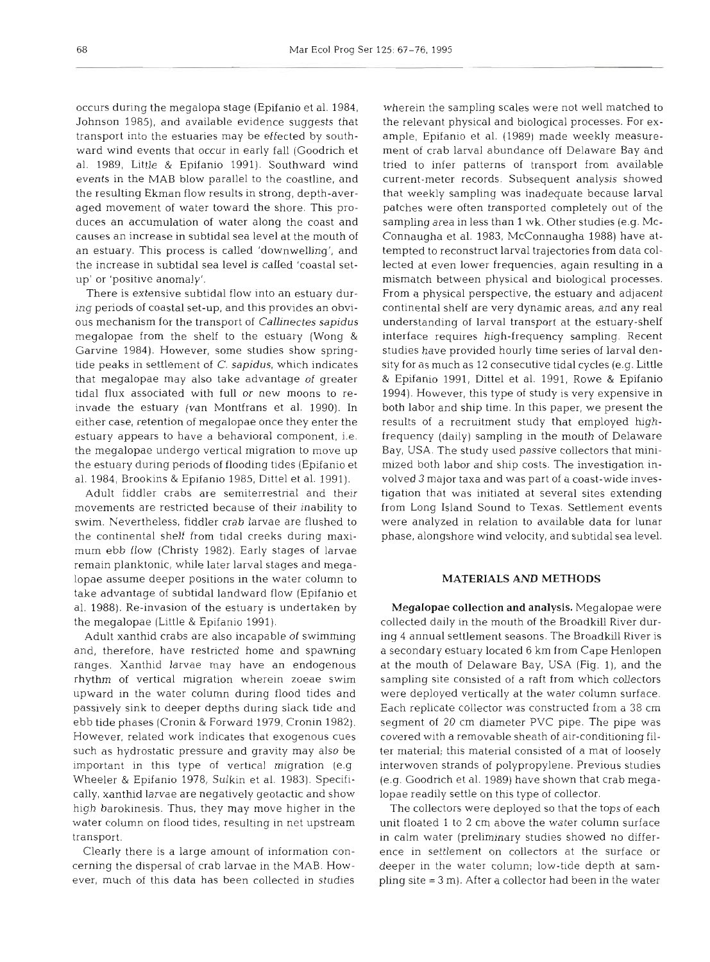occurs during the megalopa stage (Epifanio et al. 1984, Johnson 1985), and available evidence suggests that transport into the estuaries may be effected by southward wind events that occur in early fall (Goodrich et al. 1989, Little & Epifanio 1991). Southward wind events in the MAB blow parallel to the coastline, and the resulting Ekman flow results in strong, depth-averaged movement of water toward the shore. This produces an accumulation of water along the coast and causes an increase in subtidal sea level at the mouth of an estuary. This process is called 'downwelling', and the increase in subtidal sea level is called 'coastal setup' or 'positive anomaly'.

There is extensive subtidal flow into an estuary during periods of coastal set-up, and this provides an obvious mechanism for the transport of *Callinectes sapidus*  megalopae from the shelf to the estuary (Wong & Garvine 1984). However, some studies show springtide peaks in settlement of C. *sapidus,* which indicates that megalopae may also take advantage of greater tidal flux associated with full or new moons to reinvade the estuary (van Montfrans et al. 1990). In either case, retention of megalopae once they enter the estuary appears to have a behavioral component, i.e. the megalopae undergo vertical migration to move up the estuary during periods of flooding tides (Epifanio et al. 1984, Brookins & Epifanio 1985, Dittel et al. 1991).

Adult fiddler crabs are semiterrestrial and their movements are restricted because of their inability to swim. Nevertheless, fiddler crab larvae are flushed to the continental shelf from tidal creeks during maximum ebb flow (Christy 1982). Early stages of larvae remain planktonic, while later larval stages and megalopae assume deeper positions in the water column to take advantage of subtidal landward flow (Epifanio et al. 1988). Re-invasion of the estuary is undertaken by the megalopae (Little & Epifanio 1991).

Adult xanthid crabs are also incapable of swimming and, therefore, have restricted home and spawning ranges. Xanthid larvae may have an endogenous rhythm of vertical migration wherein zoeae swim upward in the water column during flood tides and passively sink to deeper depths during slack tide and ebb tide phases (Cronin & Forward 1979, Cronin 1982). However, related work indicates that exogenous cues such as hydrostatic pressure and gravity may also be important in this type of vertical migration (e.g Wheeler & Epifanio 1978, Sulkin et al. 1983). Specifically, xanthid larvae are negatively geotactic and show high barokinesis. Thus, they may move higher in the water column on flood tides, resulting in net upstream transport.

Clearly there is a large amount of information concerning the dispersal of crab larvae in the MAB. However, much of this data has been collected in studies

wherein the sampling scales were not well matched to the relevant physical and biological processes. For example, Epifanio et al. (1989) made weekly measurement of crab larval abundance off Delaware Bay and tried to infer patterns of transport from available current-meter records. Subsequent analysis showed that weekly sampling was inadequate because larval patches were often transported completely out of the sampling area in less than 1 wk. Other studies (e.g. Mc-Connaugha et al. 1983, McConnaugha 1988) have attempted to reconstruct larval trajectories from data collected at even lower frequencies, again resulting in a mismatch between physical and biological processes. From a physical perspective, the estuary and adjacent continental shelf are very dynamic areas, and any real understanding of larval transport at the estuary-shelf interface requires high-frequency sampling. Recent studies have provided hourly time series of larval density for as much as 12 consecutive tidal cycles (e.g. Little & Epifanio 1991, Dittel et al. 1991, Rowe & Epifanio 1994). However, this type of study is very expensive in both labor and ship time. In this paper, we present the results of a recruitment study that employed highfrequency (daily) sampling in the mouth of Delaware Bay, USA. The study used passive collectors that minimized both labor and ship costs. The investigation involved 3 major taxa and was part of a coast-wide investigation that was initiated at several sites extending from Long Island Sound to Texas. Settlement events were analyzed in relation to available data for lunar phase, alongshore wind velocity, and subtidal sea level.

# **MATERIALS AND METHODS**

Megalopae collection **and** analysis. Megalopae were collected daily in the mouth of the Broadkill River during 4 annual settlement seasons. The Broadkill River is a secondary estuary located 6 km from Cape Henlopen at the mouth of Delaware Bay, USA (Fig. l), and the sampling site consisted of a raft from which collectors were deployed vertically at the water column surface. Each replicate collector was constructed from a 35 cm segment of 20 cm diameter PVC pipe. The pipe was covered with a removable sheath of air-conditioning filter material; this material consisted of a mat of loosely interwoven strands of polypropylene. Previous studies (e.g. Goodnch et al. 1989) have shown that crab megalopae readily settle on this type of collector.

The collectors were deployed so that the tops of each unit floated 1 to 2 cm above the water column surface in calm water (preliminary studies showed no difference in settlement on collectors at the surface or deeper in the water column; low-tide depth at sampling site = 3 m). After a collector had been in the water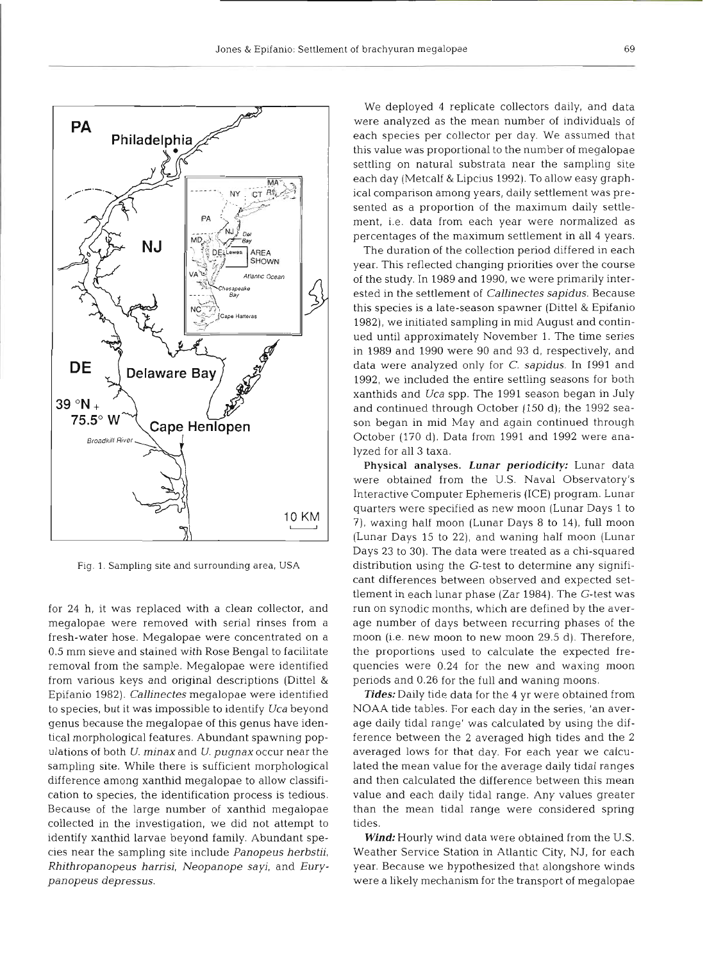

Fig. **1.** Sampling site and surrounding area, **USA** 

for 24 h, it was replaced with a clean collector, and megalopae were removed with serial rinses from a fresh-water hose. Megalopae were concentrated on a 0.5 mm sieve and stained with Rose Bengal to facilitate removal from the sample. Megalopae were identified from various keys and original descriptions (Dittel & Epifanio 1982). *Callinectes* megalopae were identified to species, but it was impossible to identify *Uca* beyond genus because the megalopae of this genus have identical morphological features. Abundant spawning population~ of both *U. minax* and *U. pugnax* occur near the sampling site. While there is sufficient morphological difference among xanthid megalopae to allow classification to species, the identification process is tedious. Because of the large number of xanthid megalopae collected in the investigation, we did not attempt to identify xanthid larvae beyond family. Abundant species near the sampling site include *Panopeus herbstii, Rhithropanopeus harrisi, Neopanope sayi,* and *Eurypanopeus depressus.* 

We deployed 4 replicate collectors daily, and data were analyzed as the mean number of individuals of each species per collector per day. We assumed that this value was proportional to the number of megalopae settling on natural substrata near the sampling site each day (Metcalf & Lipcius 1992). To allow easy graphical comparison among years, daily settlement was presented as a proportion of the maximum daily settlement, i.e. data from each year were normalized as percentages of the maximum settlement in all 4 years.

The duration of the collection period differed in each year. This reflected changing priorities over the course of the study. In 1989 and 1990, we were primarily interested in the settlement of *Callinectes sapidus.* Because this species is a late-season spawner (Dittel & Epifanio 1982), we initiated sampling in mid August and continued until approximately November 1. The time series in 1989 and 1990 were 90 and 93 d, respectively, and data were analyzed only for C. *sapidus.* In 1991 and 1992, we included the entire settling seasons for both xanthids and *Uca* spp. The 1991 season began in July and continued through October (150 d); the 1992 season began in mid May and again continued through October (170 d). Data from 1991 and 1992 were analyzed for all **3** taxa.

Physical analyses. *Lunar periodicity:* Lunar data were obtained from the U.S. Naval Observatory's Interactive Computer Ephemeris (ICE) program. Lunar quarters were specified as new moon (Lunar Days 1 to ?), waxing half moon (Lunar Days 8 to 14), full moon (Lunar Days 15 to 22), and waning half moon (Lunar Days 23 to 30). The data were treated as a chi-squared distribution using the G-test to determine any significant differences between observed and expected settlement in each lunar phase (Zar 1984). The G-test was run on synodic months, which are defined by the average number of days between recurring phases of the moon (i.e. new moon to new moon 29.5 d). Therefore, the proportions used to calculate the expected frequencies were 0.24 for the new and waxing moon periods and 0.26 for the full and waning moons.

*Tides:* Daily tide data for the 4 yr were obtained from NOAA tide tables. For each day in the series, 'an average daily tidal range' was calculated by using the difference between the 2 averaged high tides and the 2 averaged lows for that day. For each year we calculated the mean value for the average daily tidal ranges and then calculated the difference between this mean value and each daily tidal range. Any values greater than the mean tidal range were considered spring tides.

*Wind:* Hourly wind data were obtained from the U.S. Weather Service Station in Atlantic City, NJ, for each year. Because we hypothesized that alongshore winds were a likely mechanism for the transport of megalopae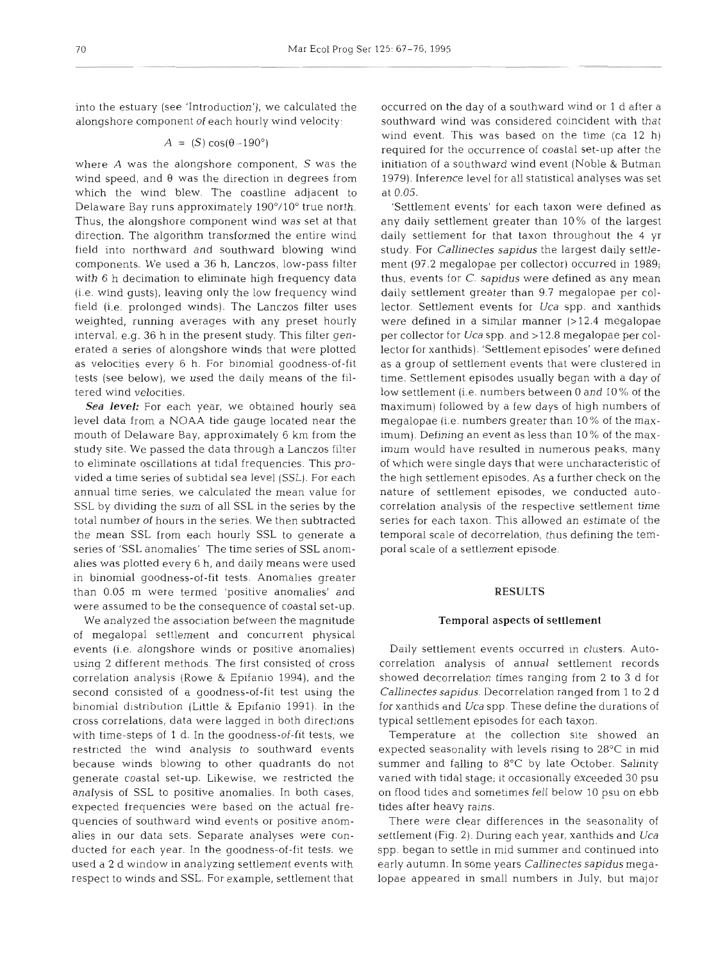into the estuary (see 'Introduction'), we calculated the alongshore component of each hourly wind velocity:

# $A = (S) cos(\theta - 190^{\circ})$

where  $A$  was the alongshore component,  $S$  was the wind speed, and **0** was the direction in degrees from which the wind blew. The coastline adjacent to Delaware Bay runs approximately 190°/10" true north. Thus, the alongshore component wind was set at that direction. The algorithm transformed the entire wind field into northward and southward blowing wind components. We used a **36** h, Lanczos, low-pass filter with **6** h decimation to eliminate high frequency data (i.e. wind gusts), leaving only the low frequency wind field (i.e, prolonged winds). The Lanczos filter uses weighted, running averages with any preset hourly interval, e.g. **36** h in the present study. This filter generated a series of alongshore winds that were plotted as velocities every 6 h. For binomial goodness-of-fit tests (see below), we used the daily means of the filtered wind velocities.

*Sea level:* For each year, we obtained hourly sea level data from a NOAA tide gauge located near the mouth of Delaware Bay, approximately **6** km from the study site. We passed the data through a Lanczos filter to eliminate oscillations at tidal frequencies. This provided a time series of subtidal sea level (SSL). For each annual time series, we calculated the mean value for SSL by dividing the sum of all SSL in the series by the total number of hours in the series. We then subtracted the mean SSL from each hourly SSL to generate a series of 'SSL anomalies' The time series of SSL anomalies was plotted every 6 h, and daily means were used in binomial goodness-of-fit tests. Anomalies greater than 0.05 m were termed 'positive anomalies' and were assumed to be the consequence of coastal set-up.

We analyzed the association between the magnitude of megalopal settlement and concurrent physical events (i.e. alongshore winds or positive anomalies) using 2 different methods. The first consisted of cross correlation analysis (Rowe & Epifanio 1994), and the second consisted of a goodness-of-fit test using the binomial distribution (Little & Epifanio 1991). In the cross correlations, data were lagged in both directions with time-steps of 1 d. In the goodness-of-fit tests, we restricted the wind analysis to southward events because winds blowing to other quadrants do not generate coastal set-up. Likewise, we restricted the analysis of SSL to positive anomalies. In both cases, expected frequencies were based on the actual frequencies of southward wind events or positive anomalies in our data sets. Separate analyses were conducted for each year. In the goodness-of-fit tests, we used a 2 d window in analyzing settlement events with respect to winds and SSL. For example, settlement that

occurred on the day of a southward wind or 1 d after a southward wind was considered coincident with that wind event. This was based on the time (ca  $12$  h) required for the occurrence of coastal set-up after the initiation of a southward wind event (Noble & Butman 1979). Inference level for all statistical analyses was set at 0.05.

'Settlement events' for each taxon were defined as any daily settlement greater than 10% of the largest daily settlement for that taxon throughout the 4 yr study. For *Callinectes sapidus* the largest daily settlement (97.2 megalopae per collector) occurred in 1989; thus, events for C. *sapidus* were defined as any mean daily settlement greater than 9.7 megalopae per collector. Settlement events for *Uca* spp. and xanthids were defined in a similar manner (>12.4 megalopae per collector for Uca spp. and >12.8 megalopae per collector for xanthids). 'Settlement episodes' were defined as a group of settlement events that were clustered in time. Settlement episodes usually began with a day of low settlement (i.e. numbers between 0 and 10% of the maximum) followed by a few days of high numbers of megalopae (i.e. numbers greater than 10% of the maximum). Defining an event as less than 10 % of the maximum would have resulted in numerous peaks, many of which were single days that were uncharacteristic of the high settlement episodes. As a further check on the nature of settlement episodes, we conducted autocorrelation analysis of the respective settlement time series for each taxon. This allowed an estimate of the temporal scale of decorrelation, thus defining the temporal scale of a settlement episode.

# **RESULTS**

#### Temporal aspects **of** settlement

Daily settlement events occurred in clusters. Autocorrelation analysis of annual settlement records showed decorrelation times ranging from 2 to **3** d for *Callinectes sapidus.* Decorrelation ranged from 1 to 2 d for xanthids and *Uca* spp These define the durations of typical settlement episodes for each taxon.

Temperature at the collection site showed an expected seasonality with levels rising to 28°C in mid summer and falling to *8°C* by late October. Sallnity vaned with tidal stage; it occasionally exceeded 30 psu on flood tides and sometimes fell below 10 psu on ebb tides after heavy rains.

There were clear differences in the seasonality of settlement (Flg. 2). Dunng each year, xanthids and *Uca*  spp. began to settle in mid summer and continued into early autumn. In some years *Callinectes sapidus* megalopae appeared in small numbers in July, but major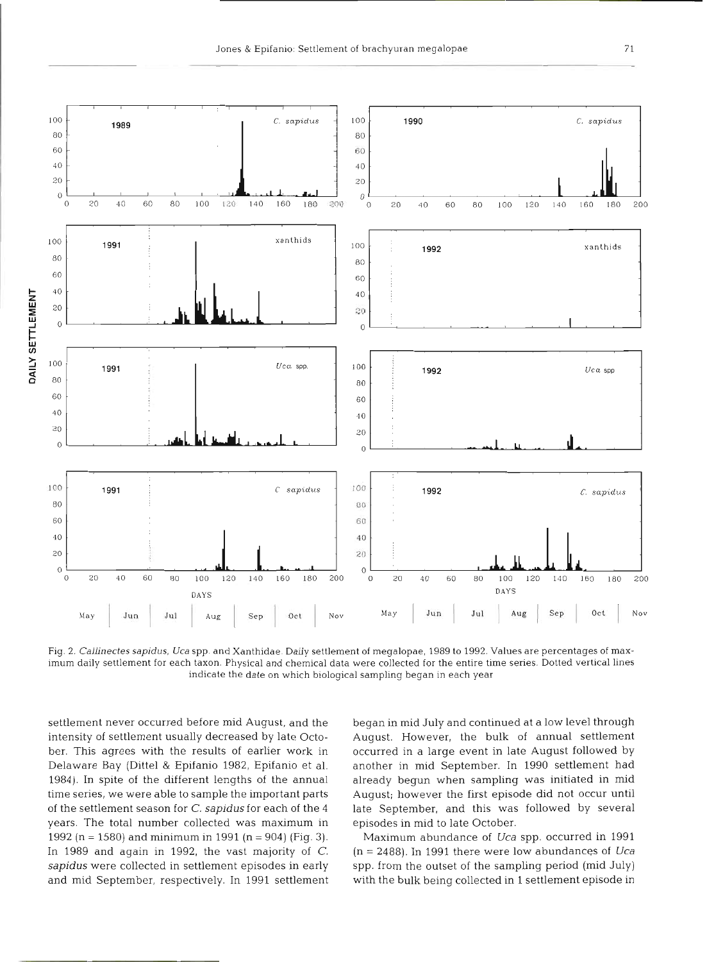

Fig. 2. Callinectes sapidus, Uca spp. and Xanthidae. Daily settlement of megalopae, 1989 to 1992. Values are percentages of maximum daily settlement for each taxon. Physical and chemical data were collected for the entire time series. Dotted vertical lines indicate the date on which biological sampling began in each **year** 

settlement never occurred before mid August, and the intensity of settlement usually decreased by late October. This agrees with the results of earlier work in Delaware Bay (Dittel & Epifanio 1982, Epifanio et al. 1984). In spite of the different lengths of the annual time series, we were able to sample the important parts of the settlement season for C. *sapidus* for each of the **4**  years. The total number collected was maximum in 1992 (n = 1580) and minimum in 1991 (n = 904) (Fig. 3). In 1989 and again in 1992, the vast majority of C. *sapidus* were collected in settlement episodes in early and mid September, respectively. In 1991 settlement began in mid July and continued at a low level through August. However, the bulk of annual settlement occurred in a large event in late August followed by another in mid September. In 1990 settlement had already begun when sampling was initiated in mid August; however the first episode did not occur until late September, and this was followed by several episodes in mid to late October.

Maximum abundance of *Uca* spp, occurred in 1991 (n = 2488). In 1991 there were low abundances of *Uca*  spp. from the outset of the sampling period (mid July) with the bulk being collected in 1 settlement episode in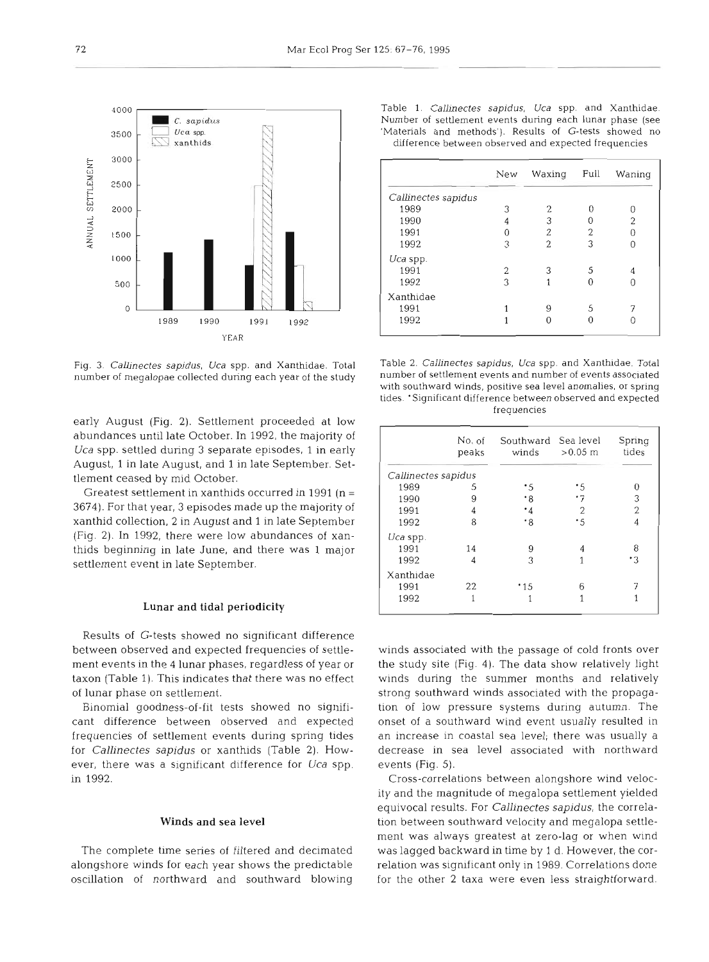

Fig. **3.** *Callinectes sapidus, Uca* spp. and Xanthidae. Total number of megalopae collected during each year of the study

early August (Fig. 2). Settlement proceeded at low abundances until late October. In 1992, the majority of *Uca* spp. settled during **3** separate episodes, 1 in early August, 1 in late August, and 1 in late September. Settlement ceased by mid October.

Greatest settlement in xanthids occurred in 1991 ( $n =$ 3674). For that year, **3** episodes made up the majority of xanthid collection, 2 in August and 1 in late September (Fig. 2). In 1992, there were low abundances of xanthids beginning in late June, and there was 1 major settlement event in late September.

#### *Lunar and tidal periodicity*

Results of G-tests showed no significant difference between observed and expected frequencies of settlement events in the 4 lunar phases, regardless of year or taxon (Table 1). This indicates that there was no effect of lunar phase on settlement.

Binomial goodness-of-fit tests showed no significant difference between observed and expected frequencies of settlement events during spring tides for *Callinectes sapidus* or xanthids (Table 2). However, there was a significant difference for *Uca* spp. in *1992.* 

## *Winds and sea level*

The complete time series of filtered and decimated alongshore winds for each year shows the predictable oscillation of northward and southward blowing

Table 1. *Callinectes sapidus, Uca* spp and Xanthidae Number of settlement events during each lunar phase (see 'Materials and methods'). Results of G-tests showed no difference between observed and expected frequencies

|                     | New | Waxing                   | Full | Waning |
|---------------------|-----|--------------------------|------|--------|
| Callinectes sapidus |     |                          |      |        |
| 1989                | 3   | 2                        | n    |        |
| 1990                | 4   | 3                        |      | 2      |
| 1991                |     | 2                        | 2    |        |
| 1992                | 3   | $\overline{\mathcal{L}}$ | 3    |        |
| Uca spp.            |     |                          |      |        |
| 1991                | 2   |                          | .S   |        |
| 1992                | 3   |                          |      |        |
| Xanthidae           |     |                          |      |        |
| 1991                |     | 9                        | 5    |        |
| 1992                |     |                          |      |        |

Table 2. *Callinectes sapidus, Uca* spp. and Xanthidae. Total number of settlement events and number of events associated with southward winds, positive sea level anomalies, or spring tides. 'Significant difference between observed and expected frequencies

|                     | No. of<br>peaks | Southward Sea level<br>winds | $>0.05$ m      | Spring<br>tides |
|---------------------|-----------------|------------------------------|----------------|-----------------|
| Callinectes sapidus |                 |                              |                |                 |
| 1989                | 5               | ۰5                           | ٠5             |                 |
| 1990                | 9               | $\cdot_8$                    | .7             | 3               |
| 1991                | 4               | $\cdot$ 4                    | $\overline{2}$ | 2               |
| 1992                | 8               | $\cdot$ 8                    | .5             | 4               |
| $Uca$ spp.          |                 |                              |                |                 |
| 1991                | 14              | 9                            | 4              | 8               |
| 1992                | 4               | 3                            |                | ٠3              |
| Xanthidae           |                 |                              |                |                 |
| 1991                | 22              | * 15                         | 6              |                 |
| 1992                |                 |                              | 1              |                 |

winds associated with the passage of cold fronts over the study site (Fig. 4). The data show relatively light winds during the summer months and relatively strong southward winds associated with the propagation of low pressure systems during autumn. The onset of a southward wind event usually resulted in an increase in coastal sea level; there was usually a decrease in sea level associated with northward events (Fig. 5).

Cross-correlations between alongshore wind velocity and the magnitude of megalopa settlement yielded equivocal results. For *Callinectes sapidus,* the correlation between southward velocity and megalopa settlement was always greatest at zero-lag or when wind was lagged backward in time by 1 d. However, the correlation was significant only in 1989. Correlations done for the other 2 taxa were even less straightforward.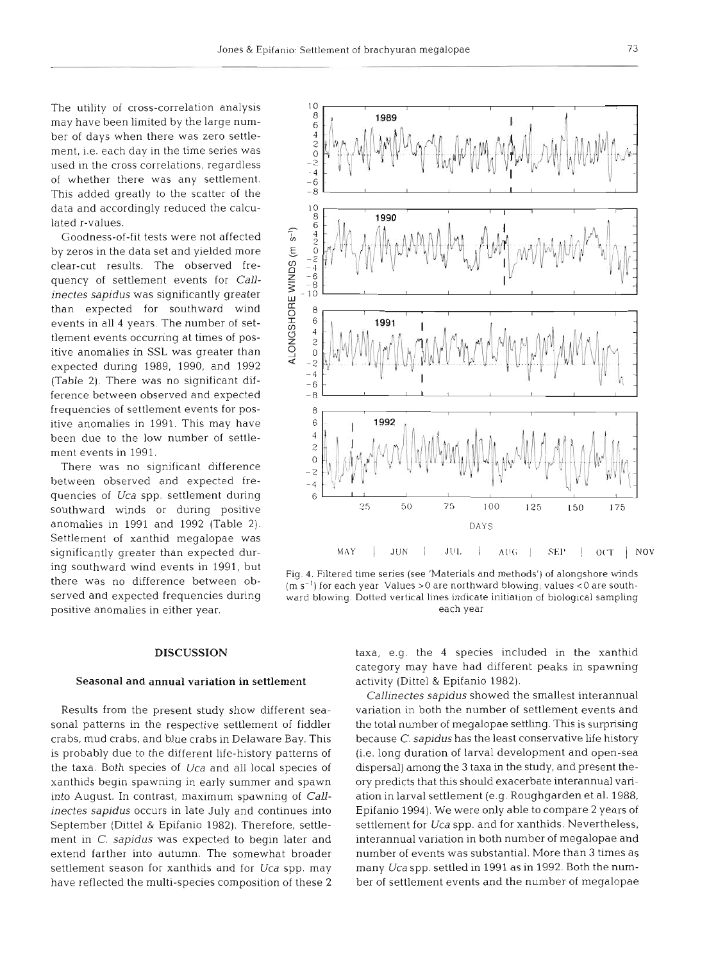$10$ 

The utility of cross-correlation analysis may have been limited by the large number of days when there was zero settlement, i.e. each day in the time series was used in the cross correlations, regardless of whether there was any settlement. This added greatly to the scatter of the data and accordingly reduced the calculated r-values.

Goodness-of-fit tests were not affected by zeros in the data set and yielded more clear-cut results. The observed frequency of settlement events for *Callinectes sapidus* was significantly greater than expected for southward wind events in all 4 years. The number of settlement events occurring at times of positive anomalies in SSL was greater than expected during 1989, 1990, and 1992 (Table 2). There was no significant difference between observed and expected frequencies of settlement events for positive anomalies in 1991. This may have been due to the low number of settlement events in 1991.

There was no significant difference between observed and expected frequencies of *Uca* spp. settlement during southward winds or during positive anomalies in 1991 and 1992 (Table 2). Settlement of xanthid megalopae was significantly greater than expected during southward wind events in 1991, but there was no difference between observed and expected frequencies during positive anomalies in either year.

#### 8 1989 6  $\frac{4}{2}$  $\frac{5}{2}$  $\overline{4}$ -6  $-8$  $\begin{array}{c}\n10 \\
8 \\
6\n\end{array}$ 1990 ALONGSHORE WINDS (m s<sup>-1</sup>)  $-4$  $-6$ <br>  $-6$ <br>  $-8$ <br>  $10$  $\theta$ 6 1991  $\overline{4}$  $\overline{\mathcal{E}}$ 0  $\overline{\mathcal{L}}$  $-4$  $-6$ 8 8 6 1992  $\overline{4}$  $\overline{\mathcal{Z}}$ 0 5  $-4$ 6  $50$ 25 100 25 125 150 175 **DAYS MAY** I **JUN JLII.** I **All(;** I **SEI' 01.1.** 1 **NOV**

Fig. 4. Filtered time series (see 'Materials and methods') of alongshore winds (m S-') for each year Values *>O* are northward blowing; values *<O* are southward blowing. Dotted vertical lines indicate initiation of biological sampling each year

## **DISCUSSION**

# **Seasonal and annual variation in settlement**

Results from the present study show different seasonal patterns in the respective settlement of fiddler crabs, mud crabs, and blue crabs in Delaware Bay. This is probably due to the different life-history patterns of the taxa. Both species of *Uca* and all local species of xanthids begin spawning in early summer and spawn into August. In contrast, maximum spawning of *Callinectes sapidus* occurs in late July and continues into September (Dittel & Epifanio 1982). Therefore, settlement in *C. sapidus* was expected to begin later and extend farther into autumn. The somewhat broader settlement season for xanthids and for *Uca* spp. may have reflected the multi-species composition of these 2 taxa, e.g. the 4 species included in the xanthid category may have had different peaks in spawning activity (Dittel & Epifanio 1982).

*Callinectes sapidus* showed the smallest interannual variation in both the number of settlement events and the total number of megalopae settling. This is surprising because C. *sapidus* has the least conservative life history (i.e. long duration of larval development and open-sea dispersal) among the 3 taxa in the study, and present theory predicts that this should exacerbate interannual variation in larval settlement (e.g. Roughgarden et al. 1988, Epifanio 1994). We were only able to compare 2 years of settlement for *Uca* spp, and for xanthids. Nevertheless, interannual variation in both number of megalopae and number of events was substantial. More than 3 times as many *Uca* spp. settled in 1991 as in 1992. Both the number of settlement events and the number of megalopae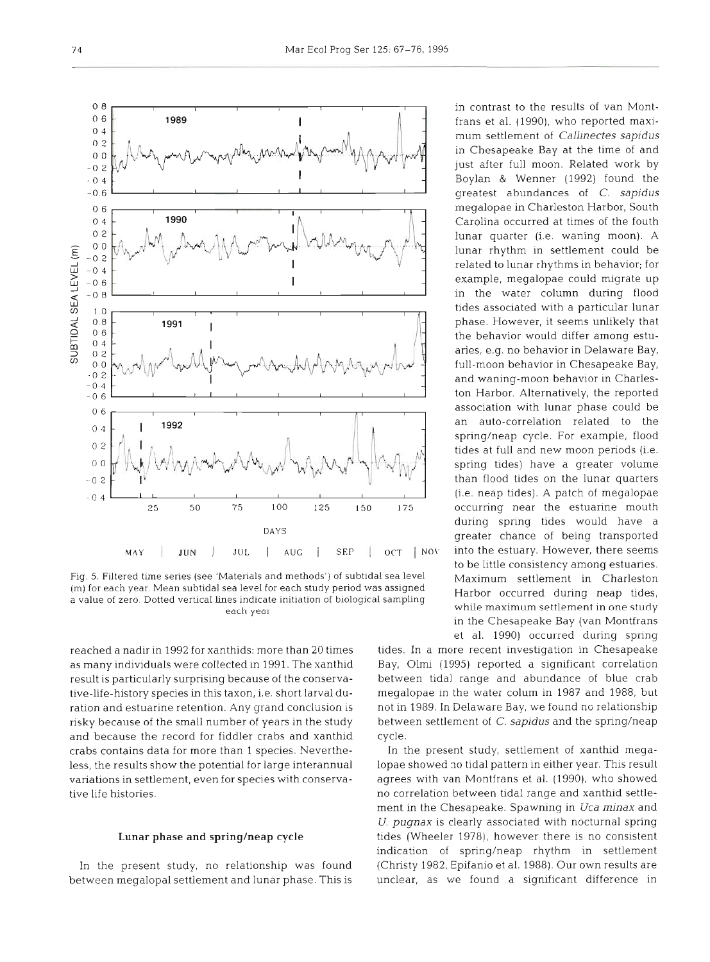

Fig. 5. Filtered time series (see 'Materials and methods') of subtidal sea level Maximum settlement in Charleston (m) for each year Mean subtldal sea level for each study period was assigned Harbor occurred during neap tides, a value of zero. Dotted vertical lines indicate initiation of biological sampling<br>each year

reached a nadir in 1992 for xanthids: more than 20 times as many individuals were collected in 1991. The xanthid result is particularly surprising because of the conservative-life-history species in this taxon, i.e, short larval duration and estuarine retention. Any grand conclusion is risky because of the small number of years in the study and because the record for fiddler crabs and xanthid crabs contains data for more than 1 species. Nevertheless, the results show the potential for large interannual variations in settlement, even for species with conservative life histories.

# Lunar phase and spring/neap cycle

In the present study, no relationship was found between megalopal settlement and lunar phase. This is

-0 6 greatest abundances of C. *sapidus*  Carolina occurred at times of the fouth related to lunar rhythms in behavior; for in the water column during flood an auto-correlation related to the spring/neap cycle. For example, flood spring tides) have a greater volume occurring near the estuarine mouth during spring tides would have a DAYS DAYS greater chance of being transported to be little consistency among estuaries. while maximum settlement in one study in the Chesapeake Bay (van Montfrans et al. 1990) occurred during spring

> tides. In a more recent investigation in Chesapeake Bay, Olmi (1995) reported a significant correlation between tidal range and abundance of blue crab megalopae in the water colum in 1987 and 1988, but not in 1989. In Delaware Bay, we found no relationship between settlement of C. sapidus and the spring/neap cycle.

> In the present study, settlement of xanthid megalopae showed no tidal pattern in either year. This result agrees with van Montfrans et al. (1990), who showed no correlation between tidal range and xanthid settlement in the Chesapeake. Spawning in *Uca minax* and *U. pugnax* is clearly associated with nocturnal spring tides (Wheeler 1978), however there is no consistent indication of spring/neap rhythm in settlement (Christy 1982, Epifanio et al. 1988). Our own results are unclear, as we found a significant difference in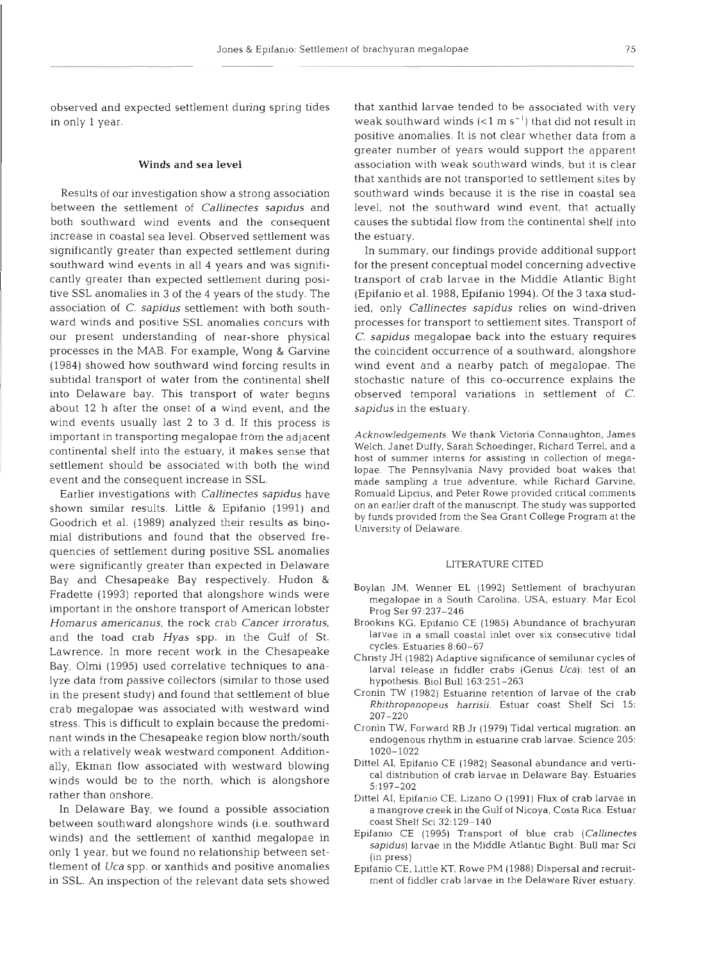observed and expected settlement during spring tides in only 1 year.

## Winds and sea level

Results of our investigation show a strong association between the settlement of *Callinectes sapidus* and both southward wind events and the consequent increase in coastal sea level. Observed settlement was significantly greater than expected settlement during southward wind events in all 4 years and was significantly greater than expected settlement during positive SSL anomalies in 3 of the 4 years of the study. The association of *C. sapidus* settlement with both southward winds and positive SSL anomalies concurs with our present understanding of near-shore physical processes in the MAB. For example, Wong & Garvine (1984) showed how southward wind forcing results in subtidal transport of water from the continental shelf into Delaware bay. This transport of water begins about 12 h after the onset of a wind event, and the wind events usually last 2 to **3** d. If this process is important in transporting megalopae from the adjacent continental shelf into the estuary, it makes sense that settlement should be associated with both the wind event and the consequent increase in SSL.

Earlier investigations with *Callinectes sapidus* have shown similar results. Little & Epifanio (1991) and Goodrich et al. (1989) analyzed their results as binomial distributions and found that the observed frequencies of settlement during positive SSL anomalies were significantly greater than expected in Delaware Bay and Chesapeake Bay respectively. Hudon & Fradette (1993) reported that alongshore winds were important in the onshore transport of American lobster *Homarus americanus,* the rock crab *Cancer irroratus,*  and the toad crab *Hyas* spp. in the Gulf of St. Lawrence. In more recent work in the Chesapeake Bay, Olmi (1995) used correlative techniques to analyze data from passive collectors (similar to those used in the present study) and found that settlement of blue crab megalopae was associated with westward wind stress. This is difficult to explain because the predominant winds in the Chesapeake region blow north/south with a relatively weak westward component. Additionally, Ekman flow associated with westward blowing winds would be to the north, which is alongshore rather than onshore.

In Delaware Bay, we found a possible association between southward alongshore winds (i.e. southward winds) and the settlement of xanthid megalopae in only 1 year, but we found no relationship between settlement of *Uca* spp. or xanthids and positive anomalies in SSL. An inspection of the relevant data sets showed

that xanthid larvae tended to be associated with very weak southward winds  $(< 1 \text{ m s}^{-1})$  that did not result in positive anomalies. It is not clear whether data from a greater number of years would support the apparent association with weak southward winds, but it is clear that xanthids are not transported to settlement sites by southward winds because it is the rise in coastal sea level, not the southward wind event, that actually causes the subtidal flow from the continental shelf into the estuary.

In summary, our findings provide additional support for the present conceptual model concerning advective transport of crab larvae in the Middle Atlantic Bight (Epifanio et al. 1988, Epifanio 1994). Of the 3 taxa studied, only *Callinectes sapidus* relies on wind-driven processes for transport to settlement sites. Transport of *C. sapidus* megalopae back into the estuary requires the coincident occurrence of a southward, alongshore wind event and a nearby patch of megalopae. The stochastic nature of this co-occurrence explains the observed temporal variations in settlement of *C. sapidus* in the estuary.

Acknowledgements. We thank Victoria Connaughton, James Welch, Janet Duffy, Sarah Schoedinger, Richard Terrel, and a host of summer interns for assisting in collection of megalopae. The Pennsylvania Navy provided boat wakes that made sampling a true adventure, while Richard Garvine, Romuald Lipcius, and Peter Rowe provided critical comments on an earlier draft of the manuscript. The study was supported by funds provlded from the Sea Grant College Program at the University of Delaware.

#### LITERATURE CITED

- Boylan JM. Wenner EL (1992) Settlement of brachyuran megalopae in a South Carolina, USA, estuary. Mar Ecol Prog Ser 9?:23?-246
- Brookins KG, Epifanio CE (1985) Abundance of brachyuran larvae in a small coastal inlet over six consecutive tidal cycles. Estuaries 8:60-67
- Chnsty JH (1982) Adaptive significance of semilunar cycles of larval release in fiddler crabs (Genus Uca): test of an hypothesis. B101 Bull 163:251-263
- Cronin TW (1982) Estuarine retention of larvae of the crab Rhithropanopeus harrisii. Estuar coast Shelf Sci 15: 207-220
- Cronin TW, Forward RB Jr (1979) Tidal vertical migration: an endogenous rhythm in estuarine crab larvae. Science 205: 1020-1022
- Dittel AI, Epifanio CE (1982) Seasonal abundance and vertlcal distribution of crab larvae in Delaware Bay. Estuaries 5: 197-202
- Dittel AI, Epifanio CE, Lizano O (1991) Flux of crab larvae in a mangrove creek in the Gulf of Nicoya, Costa Rica. Estuar coast Shelf Sci 32:129-140
- Epifanio CE (1995) Transport of blue crab (Callinectes sapidus) larvae in the Middle Atlantic Bight. Bull mar Sci (in press)
- Epifanio CE, Little KT, Rowe PM (1988) Dispersal and recruitment of fiddler crab larvae in the Delaware River estuary.